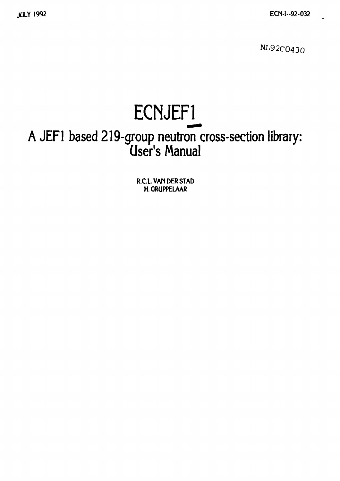**NL92C0430** 

# **ECWEF1\_**

### **A JEF1 based 219-group neutron cross-section library: user's Manual**

**R.C.L. VAN DER STAD H.GRUPPELAAR**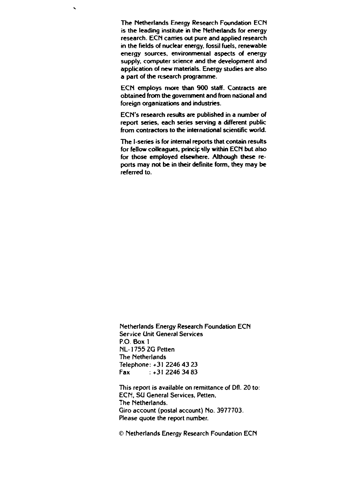**The Netherlands Energy Research Foundation ECN is the leading institute in the Netherlands for energy research. ECN carries out pure and applied research in the fields of nuclear energy, fossil fuels, renewable energy sources, environmental aspects of energy supply, computer science and the development and application of new materials. Energy studies are also a part of the research programme.** 

 $\overline{\phantom{0}}$ 

**ECN employs more than 900 staff. Contracts are obtained from the government and from national and foreign organizations and industries.** 

**ECN's research results are published in a number of report series, each series serving a different public from contractors to the international scientific world.** 

**The I-series is for internal reports that contain results for fellow colleagues, principally within ECN but also for those employed elsewhere. Although these reports may not be in their definite form, they may be referred to.** 

**Netherlands Energy Research Foundation ECN Service Unit General Services P.O. Box 1 NL-1755 ZQ Petten The Netherlands Telephone: +31 2246 43 23**  Fax :+31 2246 34 83

**This report is available on remittance of Dfl. 20 to: ECN, SÜ General Services, Petten, The Netherlands. Giro account (postal account) No. 3977703. Please quote the report number.** 

**© Netherlands Energy Research Foundation ECN**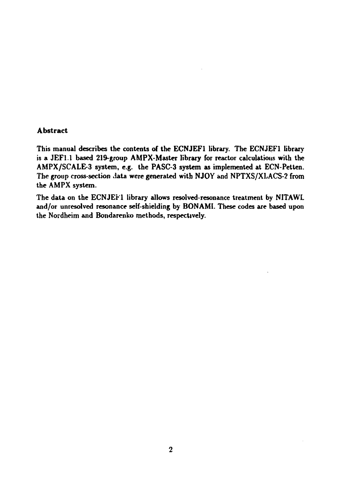#### **Abstract**

**This manual describes the contents of the ECNJEF1 library. The ECNJEF1 library is a JEFl.l based 219-group AMPX-Master library for reactor calculations with the AMPX/SCALE-3 system, e.g. the PASC-3 system as implemented at ECN-Petten. The group cross-section data were generated with NJOY and NPTXS/XLACS-2 from the AMPX system.** 

**The data on the ECNJEF1 library allows resolved-resonance treatment by NITAWL and/or unresolved resonance self-shielding by BONAMI. These codes are based upon the Nordheim and Bondarenko methods, respectively.**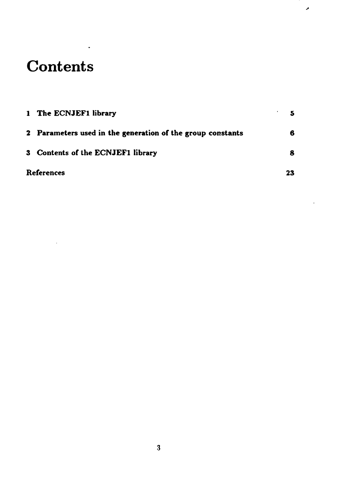## **Contents**

| 1 The ECNJEF1 library                                      |    |
|------------------------------------------------------------|----|
| 2 Parameters used in the generation of the group constants | 6  |
| 3 Contents of the ECNJEF1 library                          |    |
| <b>References</b>                                          | 23 |

۸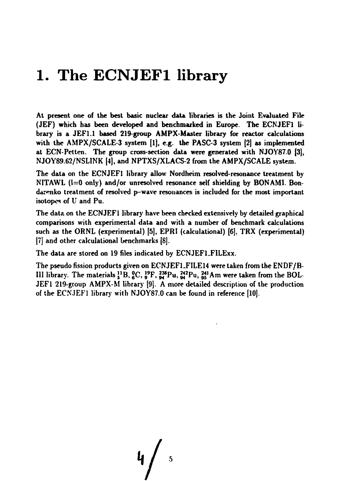#### **1. The ECNJEF1 library**

**At present one of the best basic nuclear data libraries is the Joint Evaluated File (JEF) which has been developed and benchmarked in Europe. The ECNJEFl library is a JEF1.1 based 219-group AMPX-Master library for reactor calculations with the AMPX/SCALE-3 system (1), e.g. the PASC-3 system (2) as implemented at ECN-Petten. The group cross-section data were generated with NJOY87.0 [3], NJOYS9.62/NSLINK [4), and NPTXS/XLACS-2 from the AMPX/SCALE system.** 

**The data on the ECNJEFl library allow Nordheim resolved-resonance treatment by NITAWL (1=0 only) and/or unresolved resonance self shielding by BONAM1. Bondarenko treatment of resolved p-wave resonances is included for the most important isotopes of U and Pu.** 

**The data on the ECNJEFl library have been checked extensively by detailed graphical comparisons with experimental data and with a number of benchmark calculations**  such as the ORNL (experimental) [5], EPRI (calculational) <sup>[6]</sup>, TRX (experimental) **[7] and other calculational benchmarks [8].** 

**The data are stored on 19 files indicated by ECNJEFLFILExx.** 

**The pseudo fission products given on ECNJEF1.FILE14 were taken from the ENDF/B-III library.** The materials  $^{11}_{5}$ B,  $^{0}_{6}$ C,  $^{19}_{9}$ F,  $^{238}_{94}$ Pu,  $^{242}_{95}$ Pu,  $^{241}_{95}$ Am were taken from the BOL-**JEF1 219-group AMPX-M library [9]. A more detailed description of the production of the ECNJEFl library with NJOY87.0 can be found in reference (10].** 

**, / •**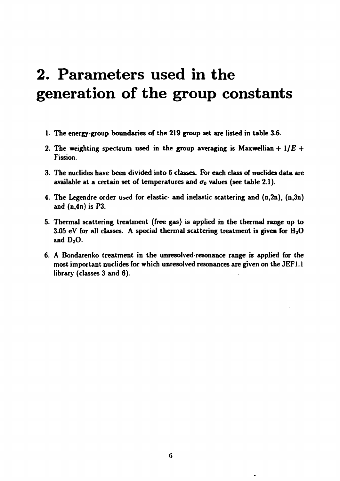# **2. Parameters used in the generation of the group constants**

- **1. The energy-group boundaries of the 219 group set are listed in table 3.6.**
- 2. The weighting spectrum used in the group averaging is Maxwellian  $+1/E +$ **Fission.**
- **3. The nuclides have been divided into 6 classes. For each class of nuclides data are**  available at a certain set of temperatures and  $\sigma_0$  values (see table 2.1).
- 4. The Legendre order used for elastic- and inelastic scattering and  $(n,2n)$ ,  $(n,3n)$ **and (n,4n) is P3.**
- **5. Thermal scattering treatment (free gas) is applied in the thermal range up to 3.05 eV for all classes. A special thermal scattering treatment is given for H20 and D<sup>2</sup> 0.**
- 6. A Bondarenko treatment in the unresolved-resonance range is applied for the **most important nuclides for which unresolved resonances are given on the JEF1.1 library (classes 3 and 6).**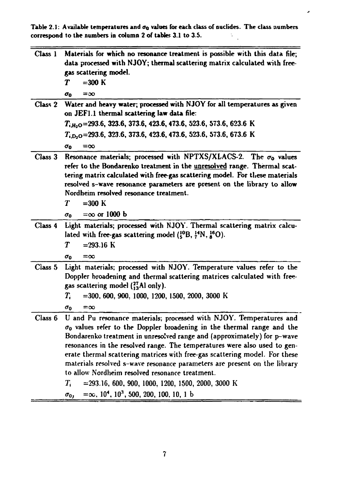Table 2.1: Available temperatures and  $\sigma_0$  values for each class of nuclides. The class numbers correspond to the numbers in column 2 of tables 3.1 to 3.5. **correspond to the numbers in column 2 of tables 3.1 to 3.5.** 

 $\pmb{\lambda}$ 

| Class 1 | Materials for which no resonance treatment is possible with this data file;<br>data processed with NJOY; thermal scattering matrix calculated with free-<br>gas scattering model.<br>$=300$ K<br>T<br>$=$ 30<br>$\sigma_{0}$                                                                                                                                                                                                                                                                                                                                                                                                                                                                  |
|---------|-----------------------------------------------------------------------------------------------------------------------------------------------------------------------------------------------------------------------------------------------------------------------------------------------------------------------------------------------------------------------------------------------------------------------------------------------------------------------------------------------------------------------------------------------------------------------------------------------------------------------------------------------------------------------------------------------|
| Class 2 | Water and heavy water; processed with NJOY for all temperatures as given<br>on JEF1.1 thermal scattering law data file:                                                                                                                                                                                                                                                                                                                                                                                                                                                                                                                                                                       |
|         | $T_{i,H_2O}$ =293.6, 323.6, 373.6, 423.6, 473.6, 523.6, 573.6, 623.6 K                                                                                                                                                                                                                                                                                                                                                                                                                                                                                                                                                                                                                        |
|         | $T_{i,D_2O}$ =293.6, 323.6, 373.6, 423.6, 473.6, 523.6, 573.6, 673.6 K                                                                                                                                                                                                                                                                                                                                                                                                                                                                                                                                                                                                                        |
|         | $\sigma_{0}$<br>$= \infty$                                                                                                                                                                                                                                                                                                                                                                                                                                                                                                                                                                                                                                                                    |
| Class 3 | Resonance materials; processed with NPTXS/XLACS-2. The $\sigma_0$ values<br>refer to the Bondarenko treatment in the unresolved range. Thermal scat-<br>tering matrix calculated with free-gas scattering model. For these materials<br>resolved s-wave resonance parameters are present on the library to allow<br>Nordheim resolved resonance treatment.                                                                                                                                                                                                                                                                                                                                    |
|         | T<br>$=300$ K                                                                                                                                                                                                                                                                                                                                                                                                                                                                                                                                                                                                                                                                                 |
|         | $=$ $\infty$ or 1000 b<br>$\sigma_0$                                                                                                                                                                                                                                                                                                                                                                                                                                                                                                                                                                                                                                                          |
| Class 4 | Light materials; processed with NJOY. Thermal scattering matrix calcu-<br>lated with free-gas scattering model $(^{10}_{5}B, \frac{14}{7}N, \frac{16}{8}O)$ .<br>T<br>$= 293.16$ K<br>$\sigma_0$<br>$=\infty$                                                                                                                                                                                                                                                                                                                                                                                                                                                                                 |
|         | Class 5 Light materials; processed with NJOY. Temperature values refer to the<br>Doppler broadening and thermal scattering matrices calculated with free-<br>gas scattering model $\binom{27}{13}$ Al only).<br>$=$ 300, 600, 900, 1000, 1200, 1500, 2000, 3000 K<br>$\scriptstyle T_i$<br>$\sigma_0$<br>≕∞                                                                                                                                                                                                                                                                                                                                                                                   |
| Class 6 | U and Pu resonance materials; processed with NJOY. Temperatures and<br>$\sigma_0$ values refer to the Doppler broadening in the thermal range and the<br>Bondarenko treatment in unresolved range and (approximately) for p-wave<br>resonances in the resolved range. The temperatures were also used to gen-<br>erate thermal scattering matrices with free-gas scattering model. For these<br>materials resolved s-wave resonance parameters are present on the library<br>to allow Nordheim resolved resonance treatment.<br>$=$ 293.16, 600, 900, 1000, 1200, 1500, 2000, 3000 K<br>$T_{\rm c}$<br>$=\infty$ , 10 <sup>4</sup> , 10 <sup>3</sup> , 500, 200, 100, 10, 1 b<br>$\sigma_{0}$ |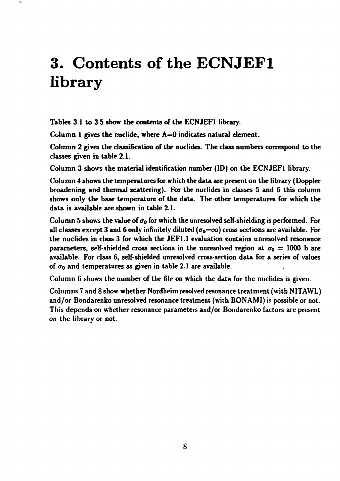# **3. Contents of the ECNJEF1 library**

**Tables 3.1 to 3.5 show the contents of the ECNJEFl library.** 

**Column 1 gives the nuclide, where A=0 indicates natural element.** 

**Column 2 gives the classification of the nuclides. The class numbers correspond to the classes given in table 2.1.** 

**Column 3 shows the material identification number (ID) on the ECNJEFl library.** 

**Column 4 shows the temperatures for which the data are present on the library (Doppler broadening and thermal scattering). For the nuclides in classes 5 and 6 this column shows only the base temperature of the data. The other temperatures for which the data is available are shown in table 2.1.** 

Column 5 shows the value of  $\sigma_0$  for which the unresolved self-shielding is performed. For all classes except 3 and 6 only infinitely diluted  $(\sigma_0 = \infty)$  cross sections are available. For **the nuclides in class 3 for which the JEF1.1 evaluation contains unresolved resonance parameters, self-shielded cross sections in the unresolved region at**  $\sigma_0 = 1000$  **b are available. For class 6, self-shielded unresolved cross-section data for a series of values**  of  $\sigma_0$  and temperatures as given in table 2.1 are available.

**Column 6 shows the number of the file on which the data for the nuclides is given.** 

**Columns 7 and 8 show whether Nordheim resolved resonance treatment (with NITAWL) and/or Bondarenko unresolved resonance treatment (with BONAMI) is possible or not. This depends on whether resonance parameters and/or Bondarenko factors are present on the library or not.**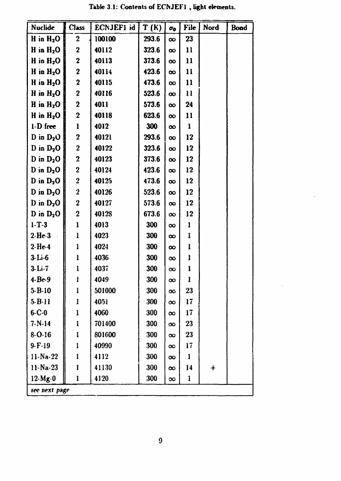| Nuclide           | <b>Class</b>            | ECNJEFI id | T(K)  | $\sigma_{0}$ | File          | Nord     | <b>Bond</b> |
|-------------------|-------------------------|------------|-------|--------------|---------------|----------|-------------|
| H in $H_2O$       | $\boldsymbol{2}$        | 100100     | 293.6 | $\infty$     | 23            |          |             |
| H in $H_2O$       | $\mathbf 2$             | 40112      | 323.6 | $\infty$     | $\mathbf{1}$  |          |             |
| H in $H_2O$       | $\mathbf 2$             | 40113      | 373.6 | $\infty$     | 11            |          |             |
| H in $H_2O$       | $\mathbf 2$             | 40114      | 423.6 | $\infty$     | 11            |          |             |
| H in $H_2O$       | $\mathbf 2$             | 40115      | 473.6 | $\infty$     | 11            |          |             |
| H in $H_2O$       | $\bf{2}$                | 40116      | 523.6 | $\infty$     | $\mathbf{11}$ |          |             |
| H in $H_2O$       | $\mathbf 2$             | 4011       | 573.6 | $\infty$     | 24            |          |             |
| H in $H_2O$       | $\mathbf 2$             | 40118      | 623.6 | $\infty$     | 11            |          |             |
| $1-D$ free        | $\mathbf{l}$            | 4012       | 300   | $\infty$     | 1             |          |             |
| D in $D_2$ O      | $\overline{\mathbf{2}}$ | 40121      | 293.6 | $\infty$     | 12            |          |             |
| D in $D_2O$       | $\boldsymbol{2}$        | 40122      | 323.6 | $\infty$     | 12            |          |             |
| D in $D_2O$       | $\boldsymbol{2}$        | 40123      | 373.6 | $\infty$     | 12            |          |             |
| D in $D_2O$       | $\overline{2}$          | 40124      | 423.6 | $\infty$     | 12            |          |             |
| D in $D_2O$       | $\overline{2}$          | 40125      | 473.6 | $\infty$     | 12            |          |             |
| D in $D_2O$       | $\overline{\mathbf{2}}$ | 40126      | 523.6 | $\infty$     | 12            |          |             |
| $D$ in $D_2O$     | $\overline{\mathbf{2}}$ | 40127      | 573.6 | $\infty$     | 12            |          |             |
| D in $D_2O$       | $\overline{2}$          | 40128      | 673.6 | $\infty$     | 12            |          |             |
| $1 - T - 3$       | $\mathbf{1}$            | 4013       | 300   | $\infty$     | I             |          |             |
| $2-He-3$          | l                       | 4023       | 300   | $\infty$     | 1             |          |             |
| $2-He-4$          | $\mathbf{I}$            | 4024       | 300   | $\infty$     | l             |          |             |
| $3-Li-6$          | l                       | 4036       | 300   | $\infty$     | l             |          |             |
| $3-Li-7$          | l                       | 4037       | 300   | $\infty$     | 1             |          |             |
| $4 - Be-9$        | ł                       | 4049       | 300   | $\infty$     | 1             |          |             |
| $5 - B - 10$      | 1                       | 501000     | 300   | $\infty$     | 23            |          |             |
| $5 - B - 11$      | I                       | 4051       | 300   | $\infty$     | 17            |          |             |
| $6 - C - 0$       | l                       | 4060       | 300   | $\infty$     | 17            |          |             |
| $7 - N - 14$      | $\mathbf{1}$            | 701400     | 300   | $\infty$     | 23            |          |             |
| $8 - 0.16$        | $\mathbf{1}$            | 801600     | 300   | $\infty$     | 23            |          |             |
| $9 - F - 19$      | 1                       | 40990      | 300   | $\infty$     | 17            |          |             |
| $11-Na-22$        | I                       | 4112       | 300   | $\infty$     | I             |          |             |
| $11 - Na - 23$    | 1                       | 41130      | 300   | $\infty$     | 14            | $\bm{+}$ |             |
| $12 \text{·Mg-0}$ | l                       | 4120       | 300   | $\infty$     | 1             |          |             |
| see next page     |                         |            |       |              |               |          |             |

**Table 3.1: Contents of ECNJEFl , light elements.**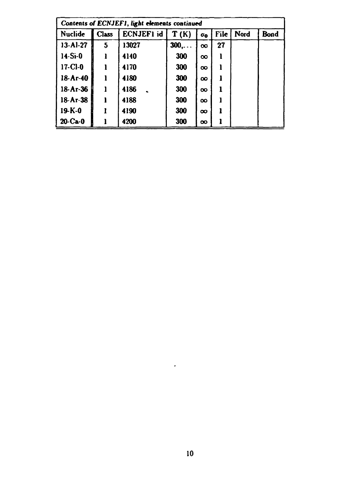| Contents of ECNJEF1, light elements continued |              |            |                          |                       |             |      |             |  |  |
|-----------------------------------------------|--------------|------------|--------------------------|-----------------------|-------------|------|-------------|--|--|
| Nuclide                                       | <b>Class</b> | ECNJEF1 id | $\mathbf{T}(\mathbf{K})$ | $\sigma_{\mathbf{0}}$ | <b>File</b> | Nord | <b>Bond</b> |  |  |
| $13 - Al-27$                                  | 5            | 13027      | 300,                     | $\infty$              | 27          |      |             |  |  |
| $14-Si-0$                                     |              | 4140       | 300                      | $\infty$              |             |      |             |  |  |
| $17-CI-0$                                     |              | 4170       | 300                      | $\infty$              |             |      |             |  |  |
| $18-Ar-40$                                    |              | 4180       | 300                      | $\infty$              |             |      |             |  |  |
| 18-Ar-36                                      |              | 4186       | 300                      | $\infty$              | ı           |      |             |  |  |
| 18-Ar-38                                      |              | 4188       | 300                      | $\infty$              |             |      |             |  |  |
| $19-K-0$                                      |              | 4190       | 300                      | $\infty$              |             |      |             |  |  |
| $20-Ca-0$                                     |              | 4200       | 300                      | $\infty$              |             |      |             |  |  |

 $\overline{\phantom{a}}$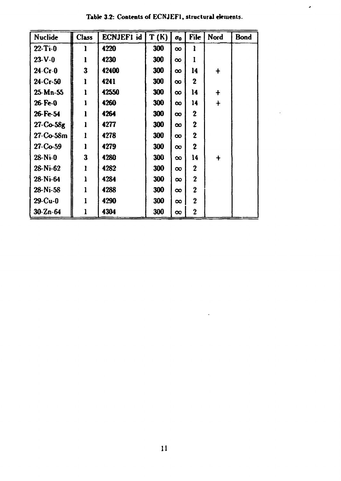| <b>Nuclide</b> | <b>Class</b> | ECNJEFI id | T(K) | $\sigma_0$ | File           | Nord       | <b>Bond</b> |
|----------------|--------------|------------|------|------------|----------------|------------|-------------|
| $22 - T - 0$   | 1            | 4220       | 300  | $\infty$   | ı              |            |             |
| $23-V-0$       | l            | 4230       | 300  | $\infty$   |                |            |             |
| $24-Cr-0$      | 3            | 42400      | 300  | $\infty$   | 14             | $\ddagger$ |             |
| $24 - Cr - 50$ | l            | 4241       | 300  | $\infty$   | $\mathbf 2$    |            |             |
| $25-Mn-55$     | l            | 42550      | 300  | $\infty$   | 14             | $\ddagger$ |             |
| $26$ Fe-0      | l            | 4260       | 300  | $\infty$   | 14             | $\ddag$    |             |
| 26-Fe-54       |              | 4264       | 300  | $\infty$   | $\overline{2}$ |            |             |
| $27-Co-58g$    | ı            | 4277       | 300  | $\infty$   | $\overline{2}$ |            |             |
| $27-Co-58m$    | Ì            | 4278       | 300  | $\infty$   | $\mathbf 2$    |            |             |
| $27 - Co-59$   | ı            | 4279       | 300  | $\infty$   | $\mathbf 2$    |            |             |
| $28-Ni-0$      | 3            | 4280       | 300  | $\infty$   | 14             | $\ddag$    |             |
| $28-Ni-62$     | l            | 4282       | 300  | $\infty$   | $\mathbf{2}$   |            |             |
| 28-Ni-64       | l            | 4284       | 300  | $\infty$   | $\mathbf 2$    |            |             |
| $28-Ni-58$     | l            | 4288       | 300  | $\infty$   | $\bf{2}$       |            |             |
| $29$ -Cu-0     |              | 4290       | 300  | $\infty$   | $\mathbf 2$    |            |             |
| $30 - Zn - 64$ | $\mathbf{l}$ | 4304       | 300  | $\infty$   | $\bf{2}$       |            |             |

Table 3.2: Contents of ECNJEF1, structural elements.

 $\bar{\boldsymbol{\delta}}$ 

ä,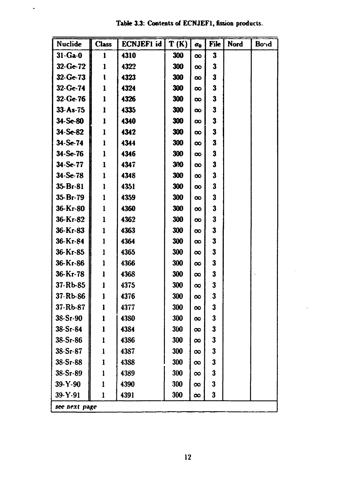| Table 3.3: Contents of ECNJEF1, fission products. |  |  |
|---------------------------------------------------|--|--|
|---------------------------------------------------|--|--|

 $\ddot{\phantom{1}}$ 

| Nuclide        | <b>Class</b><br>81 | ECNJEF1 id  | T(K) | $\sigma_{\rm o}$ | File         | Nord | Bond |
|----------------|--------------------|-------------|------|------------------|--------------|------|------|
| $31 - Ga - 0$  | $\mathbf{1}$       | 4310        | 300  | $\infty$         | 3            |      |      |
| $32-Ge-72$     | 1                  | 4322        | 300  | $\infty$         | 3            |      |      |
| $32 - Ge-73$   | ı                  | 4323        | 300  | $\infty$         | $\mathbf{3}$ |      |      |
| $32 - Ge-74$   | 1                  | 4324        | 300  | $\infty$         | 3            |      |      |
| $32 - Ge-76$   | 1                  | 4326        | 300  | $\infty$         | 3            |      |      |
| $33 - As - 75$ | l                  | 4335        | 300  | $\infty$         | 3            |      |      |
| $34 - Se-80$   | 1                  | 4340        | 300  | $\infty$         | 3            |      |      |
| $34 - Se-82$   | $\mathbf{l}$       | 4342        | 300  | $\infty$         | 3            |      |      |
| $34 - Se-74$   | 1                  | 4344        | 300  | $\infty$         | 3            |      |      |
| $34-Se-76$     | $\mathbf l$        | 4346        | 300  | $\infty$         | 3            |      |      |
| 34-Se-77       | 1                  | 4347        | 300  | $\infty$         | 3            |      |      |
| $34 - Se-78$   | $\mathbf{1}$       | 4348        | 300  | $\infty$         | 3            |      |      |
| $35 - Br - 81$ | $\mathbf{1}$       | 4351        | 300  | $\infty$         | 3            |      |      |
| 35-Br-79       | 1                  | 4359        | 300  | $\infty$         | 3            |      |      |
| 36-Кг-80       | 1                  | 4360        | 300  | $\infty$         | 3            |      |      |
| 36-Кг-82       | $\mathbf{l}$       | 4362        | 300  | $\infty$         | 3            |      |      |
| 36-Kr-83       | $\mathbf{l}$       | 4363        | 300  | $\infty$         | 3            |      |      |
| 36-Kr-84       | 1                  | 4364        | 300  | $\infty$         | 3            |      |      |
| 36-Kr-85       | 1                  | 4365        | 300  | $\infty$         | 3            |      |      |
| 36-Кг-86       | $\mathbf 1$        | 4366        | 300  | $\infty$         | 3            |      |      |
| $36-Kr-78$     | 1                  | 4368        | 300  | $\infty$         | 3            |      |      |
| $37 - Rb - 85$ | l                  | 4375        | 300  | $\infty$         | 3            |      |      |
| 37-Rb-86       | ı                  | 4376        | 300  | $\infty$         | 3            |      |      |
| 37-Rb-87       | ı                  | 4377        | 300  | $\infty$         | 3            |      |      |
| $38-Sr-90$     |                    | 4380        | 300  | $\infty$         | 3            |      |      |
| $38-Sr-S4$     | ı                  | 4384        | 300  | $\infty$         | 3            |      |      |
| $38-Sr-S6$     | Ŧ                  | <b>43S6</b> | 300  | $\infty$         | 3            |      |      |
| $38 - Sr - 87$ | ł                  | 4387        | 300  | $\infty$         | 3            |      |      |
| $38-Sr-S8$     | 1                  | 4388        | 300  | $\infty$         | 3            |      |      |
| $38 - Sr - 89$ |                    | 4389        | 300  | $\infty$         | 3            |      |      |
| $39-Y-90$      | 1                  | 4390        | 300  | $\infty$         | 3            |      |      |
| 39-Y-91        | 1                  | 4391        | 300  | $\infty$         | 3            |      |      |
| see next page  |                    |             |      |                  |              |      |      |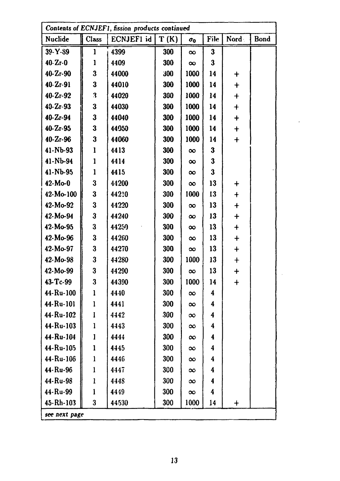| Contents of ECNJEF1, fission products continued |                         |            |      |            |          |                      |             |  |  |
|-------------------------------------------------|-------------------------|------------|------|------------|----------|----------------------|-------------|--|--|
| Nuclide                                         | Class                   | ECNJEF1 id | T(K) | $\sigma_0$ | File     | Nord                 | <b>Bond</b> |  |  |
| 39-Y-89                                         | 1                       | 4399       | 300  | $\infty$   | $\bf{3}$ |                      |             |  |  |
| $40 - Zr - 0$                                   | 1                       | 4409       | 300  | $\infty$   | $\bf{3}$ |                      |             |  |  |
| $40 - Zr - 90$                                  | 3                       | 44000      | 300  | 1000       | 14       | $\mathbf +$          |             |  |  |
| $40 - Zr - 91$                                  | 3                       | 44010      | 300  | 1000       | 14       | $\mathbf +$          |             |  |  |
| $40 - 2r - 92$                                  | 3                       | 44020      | 300  | 1000       | 14       | $\ddot{\phantom{1}}$ |             |  |  |
| $40 - Zr - 93$                                  | $\overline{\mathbf{3}}$ | 44030      | 300  | 1000       | 14       | $\ddot{}$            |             |  |  |
| $40 - Zr - 94$                                  | 3                       | 44040      | 300  | 1000       | 14       | $\ddag$              |             |  |  |
| $40 - 2r - 95$                                  | $\bf{3}$                | 44050      | 300  | 1000       | 14       | $\mathbf +$          |             |  |  |
| $40 - Zr - 96$                                  | 3                       | 44060      | 300  | 1000       | 14       | $\ddot{}$            |             |  |  |
| $41 - Nb - 93$                                  | l                       | 4413       | 300  | $\infty$   | 3        |                      |             |  |  |
| $41-Nb-94$                                      | $\mathbf{1}$            | 4414       | 300  | $\infty$   | 3        |                      |             |  |  |
| 41-Nb-95                                        | 1                       | 4415       | 300  | $\infty$   | 3        |                      |             |  |  |
| $42-Mo-0$                                       | 3                       | 44200      | 300  | $\infty$   | 13       | $\ddag$              |             |  |  |
| $42-Mo-100$                                     | 3                       | 44210      | 300  | 1000       | 13       | $\ddot{}$            |             |  |  |
| $42-Mo-92$                                      | 3                       | 44220      | 300  | $\infty$   | 13       | $\ddag$              |             |  |  |
| $42 - Mo - 94$                                  | $\mathbf{3}$            | 44240      | 300  | $\infty$   | 13       | $\ddag$              |             |  |  |
| 42-Mo-95                                        | 3                       | 44250      | 300  | $\infty$   | 13       | $\ddagger$           |             |  |  |
| $42-Mo-96$                                      | 3                       | 44260      | 300  | $\infty$   | 13       | $\ddagger$           |             |  |  |
| 42-Mo-97                                        | 3                       | 44270      | 300  | $\infty$   | 13       | $\ddag$              |             |  |  |
| $42-Mo-98$                                      | $\bf{3}$                | 44280      | 300  | 1000       | 13       | $\bm{+}$             |             |  |  |
| 42-Mo-99                                        | 3                       | 44290      | 300  | $\infty$   | 13       | $\ddag$              |             |  |  |
| 43-Tc-99                                        | $\bf{3}$                | 44390      | 300  | 1000       | 14       | $\mathbf +$          |             |  |  |
| 44-Ru-100                                       | l                       | 4440       | 300  | $\infty$   | 4        |                      |             |  |  |
| 44-Ru-101                                       | $\mathbf{l}$            | 4441       | 300  | $\infty$   | 4        |                      |             |  |  |
| 44-Ru-102                                       | I                       | 4442       | 300  | $\infty$   | 4        |                      |             |  |  |
| 44-Ru-103                                       | $\mathbf{l}$            | 4443       | 300  | $\infty$   | 4        |                      |             |  |  |
| 44-Ru-104                                       | l                       | 4444       | 300  | $\infty$   | 4        |                      |             |  |  |
| 44-Ru-105                                       | $\mathbf{1}$            | 4445       | 300  | $\infty$   | 4        |                      |             |  |  |
| 44-Ru-106                                       | $\mathbf{1}$            | 4446       | 300  | $\infty$   | 4        |                      |             |  |  |
| 44-Ru-96                                        | $\mathbf{1}$            | 4447       | 300  | $\infty$   | 4        |                      |             |  |  |
| 44-Ru-98                                        | 1                       | 4448       | 300  | $\infty$   | 4        |                      |             |  |  |
| 44-Ru-99                                        | 1                       | 4449       | 300  | $\infty$   | 4        |                      |             |  |  |
| 45-Rh-103                                       | 3                       | 44530      | 300  | 1000       | 14       | $\mathbf +$          |             |  |  |
| see next page                                   |                         |            |      |            |          |                      |             |  |  |

 $\mathcal{L}^{\text{max}}_{\text{max}}$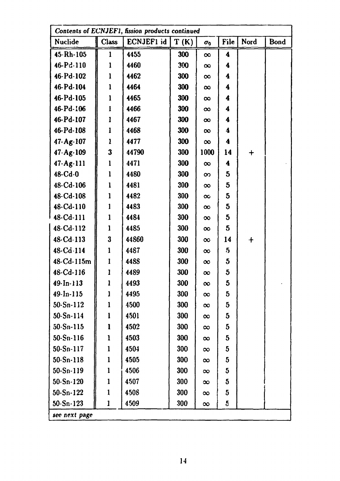| Contents of ECNJEF1, fission products continued |              |            |      |              |                         |        |             |  |
|-------------------------------------------------|--------------|------------|------|--------------|-------------------------|--------|-------------|--|
| Nuclide                                         | <b>Class</b> | ECNJEF1 id | T(K) | $\sigma_{0}$ | File                    | Nord   | <b>Bond</b> |  |
| 45-Rh-105                                       | 1            | 4455       | 300  | $\infty$     | 4                       |        |             |  |
| 46-Pd-110                                       | 1            | 4460       | 300  | $\infty$     | 4                       |        |             |  |
| 46-Pd-102                                       | 1            | 4462       | 300  | $\infty$     | 4                       |        |             |  |
| 46-Pd-104                                       | 1            | 4464       | 300  | $\infty$     | 4                       |        |             |  |
| 46-Pd-105                                       | 1            | 4465       | 300  | $\infty$     | 4                       |        |             |  |
| 46-Pd-106                                       | 1            | 4466       | 300  | $\infty$     | 4                       |        |             |  |
| 46-Pd-107                                       | 1            | 4467       | 300  | $\infty$     | 4                       |        |             |  |
| 46-Pd-108                                       | l            | 4468       | 300  | $\infty$     | 4                       |        |             |  |
| 47-Ag-107                                       | ı            | 4477       | 300  | $\infty$     | 4                       |        |             |  |
| $47 - Ag - 109$                                 | 3            | 44790      | 300  | 1000         | 14                      | $\div$ |             |  |
| $47-Ag-111$                                     | $\mathbf{1}$ | 4471       | 300  | $\infty$     | 4                       |        |             |  |
| $48 - Cd - 0$                                   | $\mathbf{l}$ | 4480       | 300  | $\infty$     | 5                       |        |             |  |
| 48-Cd-106                                       | 1            | 4481       | 300  | $\infty$     | 5                       |        |             |  |
| 48-Cd-108                                       | 1            | 4482       | 300  | $\infty$     | 5                       |        |             |  |
| 48-Cd-110                                       | 1            | 4483       | 300  | $\infty$     | 5                       |        |             |  |
| 48-Cd-111                                       | l            | 4484       | 300  | $\infty$     | 5                       |        |             |  |
| 48-Cd-112                                       | 1            | 4485       | 300  | $\infty$     | 5                       |        |             |  |
| 48-Cd-113                                       | 3            | 44860      | 300  | $\infty$     | 14                      | $\div$ |             |  |
| 48-Cd-114                                       | 1            | 4487       | 300  | $\infty$     | $5\overline{)}$         |        |             |  |
| 48-Cd-115m                                      | 1            | 4488       | 300  | $\infty$     | 5                       |        |             |  |
| 48-Cd-116                                       | 1            | 4489       | 300  | $\infty$     | 5                       |        |             |  |
| 49-In-113                                       | ı            | 4493       | 300  | $\infty$     | 5                       |        |             |  |
| $49 - ln - 115$                                 | l            | 4495       | 300  | $\infty$     | 5                       |        |             |  |
| $50-Sn-112$                                     | 1            | 4500       | 300  | $\infty$     | $5\phantom{.0}$         |        |             |  |
| $50-Sn-114$                                     | 1            | 4501       | 300  | $\infty$     | 5                       |        |             |  |
| $50-Sn-115$                                     | l            | 4502       | 300  | $\infty$     | 5                       |        |             |  |
| $50 - Sn - 116$                                 | 1            | 4503       | 300  | $\infty$     | $\overline{\mathbf{5}}$ |        |             |  |
| $50-Sn-117$                                     | 1            | 4504       | 300  | $\infty$     | $\overline{5}$          |        |             |  |
| $50-Sn-118$                                     | 1            | 4505       | 300  | $\infty$     | 5                       |        |             |  |
| $50-Sn-119$                                     | $\mathbf{1}$ | 4506       | 300  | $\infty$     | 5                       |        |             |  |
| $50-Sn-120$                                     | 1            | 4507       | 300  | $\infty$     | $\mathbf{5}$            |        |             |  |
| $50-Sn-122$                                     | $\mathbf 1$  | 4508       | 300  | $\infty$     | $5\phantom{.0}$         |        |             |  |
| $50-Sn-123$                                     | 1            | 4509       | 300  | $\infty$     | 5                       |        |             |  |
| see next page                                   |              |            |      |              |                         |        |             |  |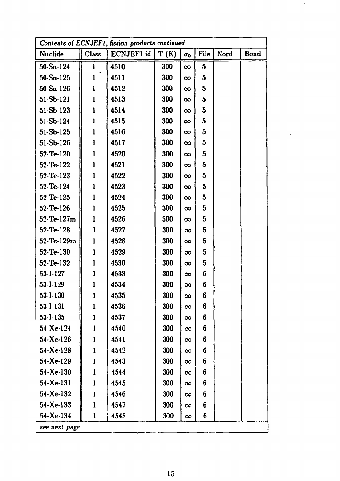| Contents of ECNJEF1, fission products continued |              |            |      |            |              |      |      |  |  |
|-------------------------------------------------|--------------|------------|------|------------|--------------|------|------|--|--|
| Nuclide                                         | <b>Class</b> | ECNJEF1 id | T(K) | $\sigma_0$ | File         | Nord | Bond |  |  |
| $50-Sn-124$                                     | 1            | 4510       | 300  | $\infty$   | 5            |      |      |  |  |
| $50 - Sn - 125$                                 | $\mathbf{1}$ | 4511       | 300  | $\infty$   | $\mathbf{5}$ |      |      |  |  |
| $50 - Sn - 126$                                 | l            | 4512       | 300  | $\infty$   | 5            |      |      |  |  |
| 51-Sb-121                                       | $\mathbf{1}$ | 4513       | 300  | $\infty$   | $\mathbf{5}$ |      |      |  |  |
| 51-Sb-123                                       | 1            | 4514       | 300  | $\infty$   | 5            |      |      |  |  |
| $51-Sb-124$                                     | $\mathbf{1}$ | 4515       | 300  | $\infty$   | 5            |      |      |  |  |
| 51-Sb-125                                       | $\mathbf{1}$ | 4516       | 300  | $\infty$   | $\mathbf{5}$ |      |      |  |  |
| $51-Sb-126$                                     | 1            | 4517       | 300  | $\infty$   | $\mathbf{5}$ |      |      |  |  |
| 52-Te-120                                       | 1            | 4520       | 300  | $\infty$   | $\mathbf{5}$ |      |      |  |  |
| 52-Te-122                                       | 1            | 4521       | 300  | $\infty$   | 5            |      |      |  |  |
| $52-Te-123$                                     | 1            | 4522       | 300  | $\infty$   | 5            |      |      |  |  |
| 52-Te-124                                       | $\mathbf{1}$ | 4523       | 300  | $\infty$   | 5            |      |      |  |  |
| 52-Te-125                                       | $\mathbf{1}$ | 4524       | 300  | $\infty$   | 5            |      |      |  |  |
| 52-Te-126                                       | $\mathbf{1}$ | 4525       | 300  | $\infty$   | 5            |      |      |  |  |
| 52-Te-127m                                      | ı            | 4526       | 300  | $\infty$   | 5            |      |      |  |  |
| 52-Te-128                                       | 1            | 4527       | 300  | $\infty$   | 5            |      |      |  |  |
| 52-Te-129m                                      | 1            | 4528       | 300  | $\infty$   | $\mathbf{5}$ |      |      |  |  |
| 52-Te-130                                       | 1            | 4529       | 300  | $\infty$   | 5            |      |      |  |  |
| 52-Te-132                                       | $\mathbf{1}$ | 4530       | 300  | $\infty$   | $\mathbf{5}$ |      |      |  |  |
| 53-I-127                                        | 1            | 4533       | 300  | $\infty$   | 6            |      |      |  |  |
| 53-I-129                                        | $\mathbf{1}$ | 4534       | 300  | $\infty$   | 6            |      |      |  |  |
| 53-I-130                                        | 1            | 4535       | 300  | $\infty$   | 6            |      |      |  |  |
| 53-I-131                                        | $\mathbf{1}$ | 4536       | 300  | $\infty$   | 6            |      |      |  |  |
| 53-I-135                                        | $\mathbf{I}$ | 4537       | 300  | $\infty$   | 6            |      |      |  |  |
| 54-Xe-124                                       | 1            | 4540       | 300  | $\infty$   | 6            |      |      |  |  |
| 54-Xe-126                                       | 1            | 4541       | 300  | $\infty$   | 6            |      |      |  |  |
| 54-Xe-128                                       | 1            | 4542       | 300  | $\infty$   | 6            |      |      |  |  |
| $54 - Xe - 129$                                 | 1            | 4543       | 300  | $\infty$   | 6            |      |      |  |  |
| 54-Xe-130                                       | $\mathbf{1}$ | 4544       | 300  | $\infty$   | 6            |      |      |  |  |
| 54-Xe-131                                       | $\mathbf{1}$ | 4545       | 300  | $\infty$   | 6            |      |      |  |  |
| 54-Xe-132                                       | I            | 4546       | 300  | $\infty$   | 6            |      |      |  |  |
| $54 - Xe - 133$                                 | $\mathbf{1}$ | 4547       | 300  | $\infty$   | 6            |      |      |  |  |
| 54-Xe-134                                       | 1            | 4548       | 300  | $\infty$   | 6            |      |      |  |  |
| see next page                                   |              |            |      |            |              |      |      |  |  |

 $\sim$ 

 $\mathcal{A}$ 

 $\sim$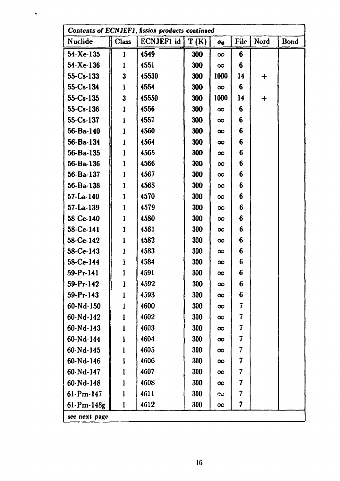|                 | Contents of ECNJEF1, fission products continued |            |      |            |                          |            |      |  |  |
|-----------------|-------------------------------------------------|------------|------|------------|--------------------------|------------|------|--|--|
| Nuclide         | <b>Class</b>                                    | ECNJEF1 id | T(K) | $\sigma_0$ | File                     | Nord       | Bond |  |  |
| $54 - Xe - 135$ |                                                 | 4549       | 300  | $\infty$   | 6                        |            |      |  |  |
| $54 - Xe - 136$ | 1                                               | 4551       | 300  | $\infty$   | 6                        |            |      |  |  |
| $55 - Cs - 133$ | 3                                               | 45530      | 300  | 1000       | 14                       | $\ddag$    |      |  |  |
| 55-Cs-134       | l                                               | 4554       | 300  | $\infty$   | 6                        |            |      |  |  |
| $55-Cs-135$     | 3                                               | 45550      | 300  | 1000       | 14                       | $\ddagger$ |      |  |  |
| 55-Cs-136       | l                                               | 4556       | 300  | $\infty$   | 6                        |            |      |  |  |
| $55 - Cs - 137$ | ı                                               | 4557       | 300  | $\infty$   | 6                        |            |      |  |  |
| 56-Ba-140       | 1                                               | 4560       | 300  | $\infty$   | 6                        |            |      |  |  |
| 56-Ba-134       | ı                                               | 4564       | 300  | $\infty$   | 6                        |            |      |  |  |
| 56-Ba-135       | l                                               | 4565       | 300  | $\infty$   | 6                        |            |      |  |  |
| 56-Ba-136       | ı                                               | 4566       | 300  | $\infty$   | 6                        |            |      |  |  |
| 56-Ba-137       | l                                               | 4567       | 300  | $\infty$   | 6                        |            |      |  |  |
| $56 - Ba - 138$ | 1                                               | 4568       | 300  | $\infty$   | 6                        |            |      |  |  |
| $57 - La - 140$ | l                                               | 4570       | 300  | $\infty$   | 6                        |            |      |  |  |
| $57-La-139$     | l                                               | 4579       | 300  | $\infty$   | 6                        |            |      |  |  |
| 58-Ce-140       | 1                                               | 4580       | 300  | $\infty$   | 6                        |            |      |  |  |
| 58-Ce-141       | 1                                               | 4581       | 300  | $\infty$   | 6                        |            |      |  |  |
| 58-Ce-142       | ı                                               | 4582       | 300  | $\infty$   | 6                        |            |      |  |  |
| 58-Ce-143       | ı                                               | 4583       | 300  | $\infty$   | 6                        |            |      |  |  |
| 58-Ce-144       | ı                                               | 4584       | 300  | $\infty$   | 6                        |            |      |  |  |
| 59-Pr-141       | 1                                               | 4591       | 300  | $\infty$   | 6                        |            |      |  |  |
| 59-Pr-142       | 1                                               | 4592       | 300  | $\infty$   | 6                        |            |      |  |  |
| $59 - Pr - 143$ | 1                                               | 4593       | 300  | $\infty$   | 6                        |            |      |  |  |
| 60-Nd-150       | 1                                               | 4600       | 300  | $\infty$   | 7                        |            |      |  |  |
| 60-Nd-142       | ı                                               | 4602       | 300  | $\infty$   | 7                        |            |      |  |  |
| 60-Nd-143       | I                                               | 4603       | 300  | $\infty$   | $\overline{\mathcal{I}}$ |            |      |  |  |
| 60-Nd-144       | $\mathbf{1}$                                    | 4604       | 300  | $\infty$   | 7                        |            |      |  |  |
| 60-Nd-145       | 1                                               | 4605       | 300  | $\infty$   | 7                        |            |      |  |  |
| 60-Nd-146       | $\mathbf{I}$                                    | 4606       | 300  | $\infty$   | 7                        |            |      |  |  |
| 60-Nd-147       | $\mathbf{l}$                                    | 4607       | 300  | $\infty$   | 7                        |            |      |  |  |
| 60-Nd-148       | 1                                               | 4608       | 300  | $\infty$   | 7                        |            |      |  |  |
| $61-Pm-147$     | $\mathbf{I}$                                    | 4611       | 300  | $\sim$     | $\overline{\mathbf{r}}$  |            |      |  |  |
| $61-Pm-148g$    | $\mathbf{1}$                                    | 4612       | 300  | $\infty$   | 7                        |            |      |  |  |
| see next page   |                                                 |            |      |            |                          |            |      |  |  |

 $\hat{\mathbf{v}}$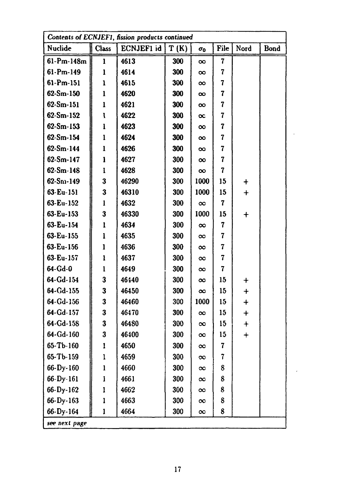| Contents of ECNJEF1, fission products continued |              |            |      |              |                         |             |             |  |  |
|-------------------------------------------------|--------------|------------|------|--------------|-------------------------|-------------|-------------|--|--|
| Nuclide                                         | <b>Class</b> | ECNJEF1 id | T(K) | $\sigma_{0}$ | File                    | Nord        | <b>Bond</b> |  |  |
| $61-Pm-148m$                                    | $\mathbf{1}$ | 4613       | 300  | $\infty$     | $\overline{\mathbf{7}}$ |             |             |  |  |
| $61-Pm-149$                                     | 1            | 4614       | 300  | $\infty$     | 7                       |             |             |  |  |
| $61-Pm-151$                                     | $\mathbf{1}$ | 4615       | 300  | $\infty$     | 7                       |             |             |  |  |
| $62-Sm-150$                                     | $\mathbf{1}$ | 4620       | 300  | $\infty$     | 7                       |             |             |  |  |
| $62-Sm-151$                                     | 1            | 4621       | 300  | $\infty$     | 7                       |             |             |  |  |
| $62-Sm-152$                                     | l            | 4622       | 300  | $\infty$     | 7                       |             |             |  |  |
| $62-Sm-153$                                     | ı            | 4623       | 300  | $\infty$     | 7                       |             |             |  |  |
| $62-Sm-154$                                     | $\mathbf{1}$ | 4624       | 300  | $\infty$     | 7                       |             |             |  |  |
| $62-Sm-144$                                     | 1            | 4626       | 300  | $\infty$     | 7                       |             |             |  |  |
| $62-Sm-147$                                     | l            | 4627       | 300  | $\infty$     | 7                       |             |             |  |  |
| $62-Sm-148$                                     | l            | 4628       | 300  | $\infty$     | $\overline{\mathbf{r}}$ |             |             |  |  |
| $62-Sn-149$                                     | 3            | 46290      | 300  | 1000         | 15                      | $\mathbf +$ |             |  |  |
| 63-Eu-151                                       | 3            | 46310      | 300  | 1000         | 15                      | $\ddag$     |             |  |  |
| 63-Eu-152                                       | 1            | 4632       | 300  | $\infty$     | $\overline{\mathbf{7}}$ |             |             |  |  |
| 63-Eu-153                                       | 3            | 46330      | 300  | 1000         | 15                      | $\bm{+}$    |             |  |  |
| 63-Eu-154                                       | İ            | 4634       | 300  | $\infty$     | 7                       |             |             |  |  |
| 63-Eu-155                                       | l            | 4635       | 300  | $\infty$     | 7                       |             |             |  |  |
| 63-Eu-156                                       | $\mathbf{1}$ | 4636       | 300  | $\infty$     | 7                       |             |             |  |  |
| 63-Eu-157                                       | 1            | 4637       | 300  | $\infty$     | 7                       |             |             |  |  |
| 64-Gd-0                                         | 1            | 4649       | 300  | $\infty$     | 7                       |             |             |  |  |
| 64-Gd-154                                       | 3            | 46440      | 300  | $\infty$     | 15                      | $\bm{+}$    |             |  |  |
| 64-Gd-155                                       | 3            | 46450      | 300  | $\infty$     | 15                      | $\mathbf +$ |             |  |  |
| 64-Gd-156                                       | 3            | 46460      | 300  | 1000         | 15                      | $\ddag$     |             |  |  |
| 64-Gd-157                                       | 3            | 46470      | 300  | $\infty$     | 15                      | $\bm{+}$    |             |  |  |
| 64-Gd-158                                       | 3            | 46480      | 300  | $\infty$     | 15                      | $\ddagger$  |             |  |  |
| 64-Gd-160                                       | 3            | 46400      | 300  | $\infty$     | 15                      | $\ddag$     |             |  |  |
| 65-Tb-160                                       | 1            | 4650       | 300  | $\infty$     | 7                       |             |             |  |  |
| 65-Tb-159                                       | 1            | 4659       | 300  | $\infty$     | 7                       |             |             |  |  |
| 66-Dy-160                                       | $\mathbf{1}$ | 4660       | 300  | $\infty$     | 8                       |             |             |  |  |
| 66-Dy-161                                       | l            | 4661       | 300  | $\infty$     | 8                       |             |             |  |  |
| 66-Dy-162                                       | 1            | 4662       | 300  | $\infty$     | 8                       |             |             |  |  |
| 66-Dy-163                                       | 1            | 4663       | 300  | $\infty$     | 8                       |             |             |  |  |
| 66-Dy-164                                       | 1            | 4664       | 300  | $\infty$     | 8                       |             |             |  |  |
| see next page                                   |              |            |      |              |                         |             |             |  |  |

 $\mathcal{L}_{\mathcal{A}}$ 

 $\overline{a}$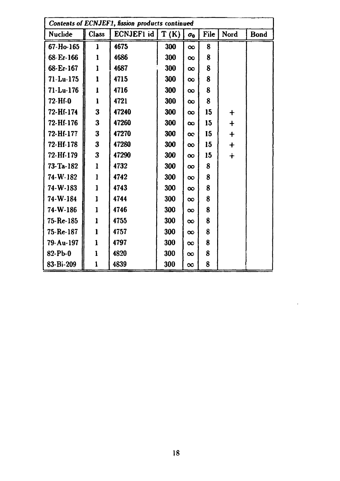| Contents of ECNJEF1, fission products continued |              |           |      |            |      |            |             |  |
|-------------------------------------------------|--------------|-----------|------|------------|------|------------|-------------|--|
| Nuclide                                         | Class        | ECNJEF1id | T(K) | $\sigma_0$ | File | Nord       | <b>Bond</b> |  |
| 67-Ho-165                                       | 1            | 4675      | 300  | $\infty$   | 8    |            |             |  |
| 68-Er-166                                       | 1            | 4686      | 300  | $\infty$   | 8    |            |             |  |
| 68-Er-167                                       | 1            | 4687      | 300  | $\infty$   | 8    |            |             |  |
| $71-Lu-175$                                     | ı            | 4715      | 300  | $\infty$   | 8    |            |             |  |
| $71-Lu-176$                                     | $\mathbf{l}$ | 4716      | 300  | $\infty$   | 8    |            |             |  |
| 72-Hf-0                                         | $\mathbf{I}$ | 4721      | 300  | $\infty$   | 8    |            |             |  |
| 72-Hf-174                                       | 3            | 47240     | 300  | $\infty$   | 15   | $\bm{+}$   |             |  |
| 72-Hf-176                                       | 3            | 47260     | 300  | $\infty$   | 15   | $\ddag$    |             |  |
| 72-Hf-177                                       | 3            | 47270     | 300  | $\infty$   | 15   | $\ddagger$ |             |  |
| 72-Hf-178                                       | 3            | 47280     | 300  | $\infty$   | 15   | $\ddagger$ |             |  |
| 72-Hf-179                                       | 3            | 47290     | 300  | $\infty$   | 15   | $\dot{+}$  |             |  |
| 73-Ta-182                                       | 1            | 4732      | 300  | $\infty$   | 8    |            |             |  |
| 74-W-182                                        | $\mathbf{1}$ | 4742      | 300  | $\infty$   | 8    |            |             |  |
| 74-W-183                                        | 1            | 4743      | 300  | $\infty$   | 8    |            |             |  |
| 74-W-184                                        | l            | 4744      | 300  | $\infty$   | 8    |            |             |  |
| 74-W-186                                        | 1            | 4746      | 300  | $\infty$   | 8    |            |             |  |
| 75-Re-185                                       | $\mathbf{1}$ | 4755      | 300  | $\infty$   | 8    |            |             |  |
| 75-Re-187                                       | 1            | 4757      | 300  | $\infty$   | 8    |            |             |  |
| 79-Au-197                                       | 1            | 4797      | 300  | $\infty$   | 8    |            |             |  |
| 82-Pb-0                                         | 1            | 4820      | 300  | $\infty$   | 8    |            |             |  |
| 83-Bi-209                                       | $\mathbf{1}$ | 4839      | 300  | $\infty$   | 8    |            |             |  |

 $\mathcal{L}_{\mathcal{A}}$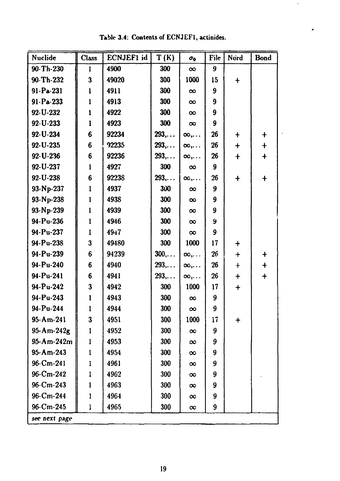| Nuclide          | <b>Class</b>    | ECNJEF1 id | T(K)          | $\sigma_{0}$     | File             | Nord                          | <b>Bond</b> |
|------------------|-----------------|------------|---------------|------------------|------------------|-------------------------------|-------------|
| 90-Th-230        | ł               | 4900       | 300           | $\infty$         | 9                |                               |             |
| 90-Th-232        | 3               | 49020      | 300           | 1000             | 15               | $\ddagger$                    |             |
| 91-Pa-231        | l               | 4911       | 300           | $\infty$         | $\boldsymbol{9}$ |                               |             |
| $91-Pa-233$      | $\mathbf{l}$    | 4913       | 300           | $\infty$         | $\boldsymbol{9}$ |                               |             |
| 92-U-232         | $\mathbf{l}$    | 4922       | 300           | $\infty$         | 9                |                               |             |
| $92 - U - 233$   | 1               | 4923       | 300           | $\infty$         | 9                |                               |             |
| 92-U-234         | $6\phantom{1}6$ | 92234      | 293,          | $\infty, \ldots$ | 26               | $\ddagger$                    | $\ddagger$  |
| 92-U-235         | $6\phantom{1}$  | 92235      | 293,          | $\infty, \ldots$ | 26               | $\mathbf +$                   | $\ddagger$  |
| 92-U-236         | 6               | 92236      | 293,          | $\infty, \ldots$ | 26               | $\mathbf +$                   | $\ddag$     |
| 92-U-237         | $\mathbf{1}$    | 4927       | 300           | $\infty$         | 9                |                               |             |
| 92-U-238         | 6               | 92238      | 293,          | $\infty, \ldots$ | 26               | $\ddag$                       | $\cdot$ +   |
| 93-Np-237        | $\mathbf{1}$    | 4937       | 300           | $\infty$         | 9                |                               |             |
| 93-Np-238        | l               | 4938       | 300           | $\infty$         | 9                |                               |             |
| 93-Np-239        | $\mathbf{l}$    | 4939       | 300           | $\infty$         | 9                |                               |             |
| 94-Pu-236        | $\mathbf{1}$    | 4946       | 300           | $\infty$         | 9                |                               |             |
| 94-Pu-237        | $\mathbf{1}$    | $49 + 7$   | 300           | $\infty$         | 9                |                               |             |
| 94-Pu-238        | 3               | 49480      | 300           | 1000             | 17               | $\textcolor{red}{\textbf{+}}$ |             |
| 94-Pu-239        | 6               | 94239      | $300, \ldots$ | $\infty, \ldots$ | 26               | $\ddag$                       | $\ddag$     |
| 94-Pu-240        | 6               | 4940       | $293, \ldots$ | $\infty, \ldots$ | 26               | $\ddagger$                    | $\ddag$     |
| 94-Pu-241        | 6               | 4941       | 293           | $\infty, \ldots$ | 26               | $\bm{+}$                      | $\mathbf +$ |
| 94-Pu-242        | $\bf{3}$        | 4942       | 300           | 1000             | 17               | $\div$                        |             |
| 94-Pu-243        | 1               | 4943       | 300           | $\infty$         | 9                |                               |             |
| 94-Pu-244        |                 | 4944       | 300           | $\infty$         | 9                |                               |             |
| $95 - Am - 241$  | $\bf{3}$        | 4951       | 300           | 1000             | 17               | $\ddag$                       |             |
| $95 - Am - 242g$ | l               | 4952       | 300           | $\infty$         | 9                |                               |             |
| 95-Am-242m       | 1               | 4953       | 300           | $\infty$         | 9                |                               |             |
| $95 - Am - 243$  | $\mathbf{1}$    | 4954       | 300           | $\infty$         | 9                |                               |             |
| $96 - Cm - 241$  | 1               | 4961       | 300           | $\infty$         | 9                |                               |             |
| $96$ -Cm-242     | l               | 4962       | 300           | $\infty$         | 9                |                               |             |
| $96 - Cm - 243$  | 1               | 4963       | 300           | $\infty$         | 9                |                               |             |
| 96-Cm-244        | I               | 4964       | 300           | $\infty$         | 9                |                               |             |
| $96$ -Cm-245     | l               | 4965       | 300           | $\infty$         | 9                |                               |             |
| see next page    |                 |            |               |                  |                  |                               |             |

Table 3.4: Contents of ECNJEF1, actinides.

r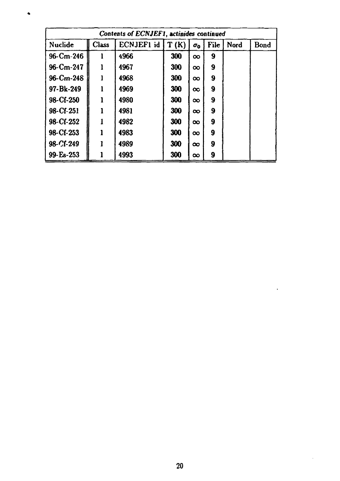| Contents of ECNJEF1, actinides continued |                     |      |     |          |                  |      |      |  |  |
|------------------------------------------|---------------------|------|-----|----------|------------------|------|------|--|--|
| Nuclide                                  | ECNJEF1 id<br>Class |      |     |          | <b>File</b>      | Nord | Bond |  |  |
| $96 - Cm - 246$                          | 1                   | 4966 | 300 | $\infty$ | 9                |      |      |  |  |
| 96-Cm-247                                |                     | 4967 | 300 | $\infty$ | 9                |      |      |  |  |
| $96 - Cm - 248$                          |                     | 4968 | 300 | $\infty$ | 9                |      |      |  |  |
| 97-Bk-249                                |                     | 4969 | 300 | $\infty$ | $\boldsymbol{9}$ |      |      |  |  |
| 98-Cf-250                                |                     | 4980 | 300 | $\infty$ | 9                |      |      |  |  |
| 98-Cf-251                                |                     | 4981 | 300 | $\infty$ | 9                |      |      |  |  |
| 98-Cf-252                                |                     | 4982 | 300 | $\infty$ | 9                |      |      |  |  |
| 98-Cf-253                                |                     | 4983 | 300 | $\infty$ | 9                |      |      |  |  |
| 98-Cf-249                                |                     | 4989 | 300 | $\infty$ | 9                |      |      |  |  |
| 99-Es-253                                |                     | 4993 | 300 | $\infty$ | 9                |      |      |  |  |

 $\bullet$ 

 $\ddot{\phantom{a}}$ 

 $\sim$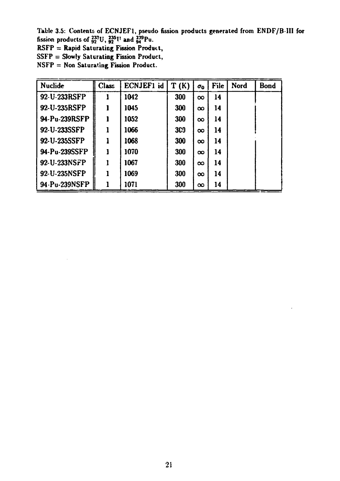Table 3.5: Contents of ECNJEFl, pseudo fi fission products of  $_{92}^{233}U$ ,  $_{92}^{235}V$  and  $_{94}^{239}Pu$ . products generated from ENDF/B **III for** 

RSFP = Rapid Saturating Fission Product,

SSFP = Slowly Saturating Fission Product,

NSFP = Non Saturating Fission Product.

| <b>Nuclide</b> | <b>Class</b> | ECNJEF1 id | T(K) | $\sigma_0$ | File | Nord | <b>Bond</b> |
|----------------|--------------|------------|------|------------|------|------|-------------|
| 92-U-233RSFP   |              | 1042       | 300  | $\infty$   | 14   |      |             |
| 92-U-235RSFP   |              | 1045       | 300  | $\infty$   | 14   |      |             |
| 94-Pu-239RSFP  | 1            | 1052       | 300  | $\infty$   | 14   |      |             |
| 92-U-233SSFP   |              | 1066       | 300  | $\infty$   | 14   |      |             |
| 92-U-235SSFP   |              | 1068       | 300  | $\infty$   | 14   |      |             |
| 94-Pu-239SSFP  |              | 1070       | 300  | $\infty$   | 14   |      |             |
| 92-U-233NSFP   |              | 1067       | 300  | $\infty$   | 14   |      |             |
| 92-U-235NSFP   |              | 1069       | 300  | $\infty$   | 14   |      |             |
| 94.Pu-239NSFP  |              | 1071       | 300  | $\infty$   | 14   |      |             |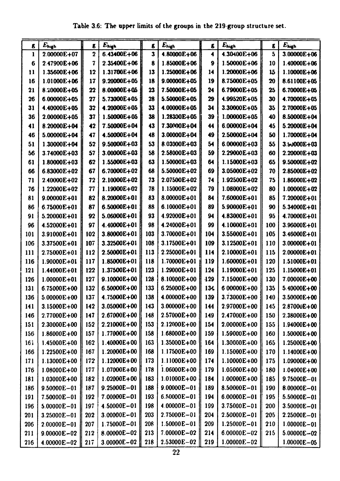| g.  | $E_{\rm high}$  | $\pmb{\epsilon}$ | $E_{\text{high}}$ | g,  | $E_{high}$      | g.               | $E_{\text{high}}$ | $\boldsymbol{\epsilon}$ | $E_{\rm high}$  |
|-----|-----------------|------------------|-------------------|-----|-----------------|------------------|-------------------|-------------------------|-----------------|
| 1   | 2.00000E+07     | $\overline{2}$   | $6.43400E + 06$   | 3   | $4.80000E + 06$ | 4                | 4.30400E+06       | 5                       | $3.00000E + 06$ |
| 6   | 2.47900E+06     | 7                | 2.35400E+06       | 8   | 1.85000E+06     | $\boldsymbol{9}$ | 1.50000E+06       | 10                      | 1.40000E+06     |
| 11  | 1.35600E+06     | 12               | 1.31700E+06       | 13  | 1.25000E+06     | 14               | 1.20000E+06       | 15                      | $1.10000E + 06$ |
| 16  | 1.01000E+06     | 17               | $9.20000E + 05$   | 18  | $9.00000E + 05$ | 19               | 8.75000E+05       | 20                      | 8.61100E+05     |
| 21  | 8.20000E+05     | 22               | 8.00000E+05       | 23  | 7.50000E+05     | 24               | 6.79000E+05       | 25                      | 6.70000E+05     |
| 26  | 6.00000E+05     | 27               | 5.73000E+05       | 28  | 5.50000E+05     | 29               | 4.99520E+05       | 30                      | 4.70000E+05     |
| 31  | 4.40000E+05     | 32               | 4.20000E+05       | 33  | 4.00000E+05     | 34               | 3.30000E+05       | 35                      | 2.70000E+05     |
| 36  | 2.00000E+05     | 37               | 1.50000E+05       | 38  | 1.28300E+05     | 39               | 1.00000E+05       | 40                      | 8.50000E+04     |
| 41  | 8.20000E+04     | 42               | 7.50000E+04       | 43  | 7.30000E+04     | 44               | 6.00000E+04       | 45                      | 5.20000E+04     |
| 46  | 5.00000E+04     | 47               | 4.50000E+04       | 48  | 3.00000E+04     | 49               | 2.50000E+04       | 50                      | 1.70000E+04     |
| 51  | 1.30000E+04     | 52               | $9.50000E + 03$   | 53  | 8.03000E+03     | 54               | 6.00000E+03       | 55                      | 3.50000E+03     |
| 56  | 3.74000E+03     | 57               | $3.00000E + 03$   | 58  | 2.58000E+03     | 59               | 2.29000E+03       | 60                      | $2.20000E + 03$ |
| 61  | 1.80000E+03     | 62               | 1.55000E+03       | 63  | $1.50000E + 03$ | 64               | 1.15000E+03       | 65                      | 9.50000E+02     |
| 66  | 6.83000E+02     | 67               | 6.70000E+02       | 68  | 5.50000E+02     | 69               | 3.05000E+02       | 70                      | 2.85000E+02     |
| 71  | 2.40000E+02     | 72               | 2.10000E+02       | 73  | 2.07500E+02     | 74               | 1.92500E+02       | 75                      | $1.86000E + 02$ |
| 76  | 1.22000E+02     | 77               | 1.19000E+02       | 78  | 1.15000E+02     | 79               | 1.08000E+02       | 80                      | $1.00000E + 02$ |
| 81  | 9.00000E+01     | 82               | 8.20000E+01       | 83  | 8.00000E+01     | 84               | 7.60000E+01       | 85                      | 7.20000E+01     |
| 86  | 6.75000E+01     | 87               | 6.50000E+01       | 88  | 6.10000E+01     | 89               | 5.90000E+01       | 90                      | 5.34000E+01     |
| 91  | 5.20000E+01     | 92               | 5.06000E+01       | 93  | 4.92000E+01     | 94               | 4.83000E+01       | 95                      | 4.70000E+01     |
| 96  | 4.52000E+01     | 97               | 4.40000E+01       | 98  | 4.24000E+01     | 99               | 4.10000E+01       | 100                     | 3.96000E+01     |
| 101 | 3.91000E+01     | 102              | 3.80000E+01       | 103 | 3.70000E+01     | 104              | 3.55000E+01       | 105                     | 3.46000E+01     |
| 106 | 3.37500E+01     | 107              | 3.32500E+01       | 108 | 3.17500E+01     | 109              | 3.12500E+01       | 110                     | 3.00000E+01     |
| 111 | 2.75000E+01     | 112              | 2.50000E+01       | 113 | 2.25000E+01     | 114              | 2.10000E+01       | 115                     | 2.00000E+01     |
| 116 | $1.90000E + 01$ | 117              | 1.85000E+01       | 118 | 1.70000E+01     | 119              | 1.60000E+01       | 120                     | 1.51000E+01     |
| 121 | 1.44000E+01     | 122              | 1.37500E+01       | 123 | 1.29000E+01     | 124              | 1.19000E+01       | 125                     | I.15000E+01     |
| 126 | 1.00000E+01     | 127              | 9.10000E+00       | 128 | 8.10000E+00     | 129              | 7.15000E+00       | 130                     | 7.00000E+00     |
| 131 | 6.75000E+00     | 132              | 6.50000E+00       | 133 | 6.25000E+00     | 134              | 6 00000E+00       | 135                     | 5.40000E+00     |
| 136 | 5.00000E+00     | 137              | 4.75000E+00       | 138 | 4.00000E+00     | 139              | 3.73000E+00       | <b>140</b>              | 3.50000E+00     |
| 141 | 3.15000E+00     | 142              | 3.05000E+00       | 143 | 3.00000E+00     | 144              | 2.97000E+00       | 145                     | 2.87000E+00     |
| 146 | 2.77000E+00     | 147              | 2.67000E+00       | 148 | 2.57000E+00     | 149              | 2.47000E+00       | 150                     | 2.38000E+00     |
| 151 | 2.30000E+00     | 152              | 2.21000E+00       | 153 | 2.12000E+00     | 154              | 2.00000E+00       | 155                     | 1.94000E+00     |
| 156 | 1.86000E+00     | 157              | 1.77000E+00       | 158 | 1.68000E+00     | 159              | 1.59000E+00       | 160                     | 1.50000E+00     |
| 161 | 1.45000E+00     | 162              | 1.40000E+00       | 163 | 1.35000E+00     | 164              | $1.30000E + 00$   | 165                     | 1.25000E+00     |
| 166 | 1.22500E+00     | 167              | 1.20000E+00       | 168 | 1.17500E+00     | 169              | 1.15000E+00       | 170                     | 1.14000E+00     |
| 171 | 1.13000E+00     | 172              | 1.12000E+00       | 173 | 1.11000E+00     | 174              | 1.10000E+00       | 175                     | $1.09000E + 00$ |
| 176 | $1.08000E + 00$ | 177              | 1.07000E+00       | 178 | 1.06000E+00     | 179              | 1.05000E+00       | 180                     | $1.04000E + 00$ |
| 181 | 1.03000E+00     | 182              | 1.02000E+00       | 183 | 1.01000E+00     | 184              | $1.00000E + 00$   | 185                     | 9.75000E-01     |
| 186 | $9.50000E - 01$ | 187              | $9.25000E - 01$   | 188 | $9.00000E - 01$ | 189              | 8.50000E-01       | 190                     | 8.00000E-01     |
| 191 | 7.50000E-01     | 192              | 7.00000E-01       | 193 | 6.50000E-01     | 194              | $6.00000E - 01$   | 195                     | 5.50000E-01     |
| 196 | $5.00000E - 01$ | 197              | 4.50000E-01       | 198 | 4.00000E-01     | 199              | 3.75000E-01       | 200                     | $3.50000E - 01$ |
| 201 | 3.25000E-01     | 202              | 3.00000E-01       | 203 | 2.75000E-01     | 204              | $2.50000E - 01$   | 205                     | 2.25000E-01     |
| 206 | 2.00000E-01     | 207              | 1.75000E-01       | 208 | $1.50000E - 01$ | 209              | 1.25000E-01       | 210                     | $1.00000E - 01$ |
| 211 | $9.00000E - 02$ | 212              | 8.00000E-02       | 213 | 7.00000E-02     | 214              | 6.00000E-02       | 215                     | $5.00000E - 02$ |
| 216 | $4.00000E - 02$ | 217              | $3.00000E - 02$   | 218 | $2.53000E - 02$ | 219              | $1.00000E - 02$   |                         | $1.00000E - 05$ |